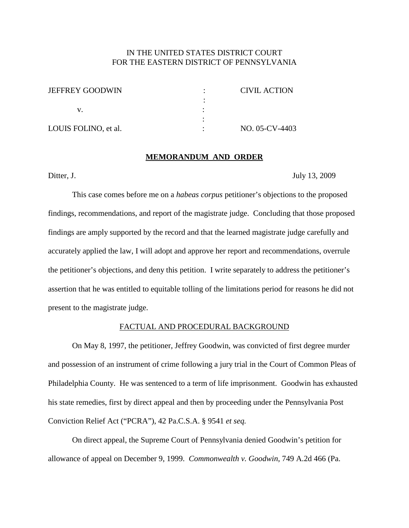## IN THE UNITED STATES DISTRICT COURT FOR THE EASTERN DISTRICT OF PENNSYLVANIA

| <b>JEFFREY GOODWIN</b> | CIVIL ACTION   |
|------------------------|----------------|
|                        |                |
|                        |                |
|                        |                |
| LOUIS FOLINO, et al.   | NO. 05-CV-4403 |

#### **MEMORANDUM AND ORDER**

Ditter, J. July 13, 2009

This case comes before me on a *habeas corpus* petitioner's objections to the proposed findings, recommendations, and report of the magistrate judge. Concluding that those proposed findings are amply supported by the record and that the learned magistrate judge carefully and accurately applied the law, I will adopt and approve her report and recommendations, overrule the petitioner's objections, and deny this petition. I write separately to address the petitioner's assertion that he was entitled to equitable tolling of the limitations period for reasons he did not present to the magistrate judge.

### FACTUAL AND PROCEDURAL BACKGROUND

On May 8, 1997, the petitioner, Jeffrey Goodwin, was convicted of first degree murder and possession of an instrument of crime following a jury trial in the Court of Common Pleas of Philadelphia County. He was sentenced to a term of life imprisonment. Goodwin has exhausted his state remedies, first by direct appeal and then by proceeding under the Pennsylvania Post Conviction Relief Act ("PCRA"), 42 Pa.C.S.A. § 9541 *et seq.*

On direct appeal, the Supreme Court of Pennsylvania denied Goodwin's petition for allowance of appeal on December 9, 1999. *Commonwealth v. Goodwin*, 749 A.2d 466 (Pa.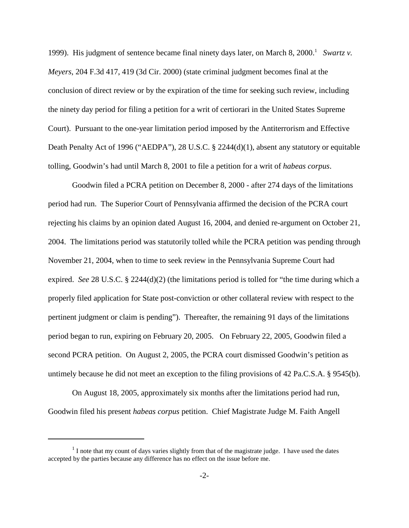1999). His judgment of sentence became final ninety days later, on March 8, 2000. <sup>1</sup> *Swartz v. Meyers*, 204 F.3d 417, 419 (3d Cir. 2000) (state criminal judgment becomes final at the conclusion of direct review or by the expiration of the time for seeking such review, including the ninety day period for filing a petition for a writ of certiorari in the United States Supreme Court). Pursuant to the one-year limitation period imposed by the Antiterrorism and Effective Death Penalty Act of 1996 ("AEDPA"), 28 U.S.C. § 2244(d)(1), absent any statutory or equitable tolling, Goodwin's had until March 8, 2001 to file a petition for a writ of *habeas corpus*.

Goodwin filed a PCRA petition on December 8, 2000 - after 274 days of the limitations period had run. The Superior Court of Pennsylvania affirmed the decision of the PCRA court rejecting his claims by an opinion dated August 16, 2004, and denied re-argument on October 21, 2004. The limitations period was statutorily tolled while the PCRA petition was pending through November 21, 2004, when to time to seek review in the Pennsylvania Supreme Court had expired. *See* 28 U.S.C. § 2244(d)(2) (the limitations period is tolled for "the time during which a properly filed application for State post-conviction or other collateral review with respect to the pertinent judgment or claim is pending"). Thereafter, the remaining 91 days of the limitations period began to run, expiring on February 20, 2005. On February 22, 2005, Goodwin filed a second PCRA petition. On August 2, 2005, the PCRA court dismissed Goodwin's petition as untimely because he did not meet an exception to the filing provisions of 42 Pa.C.S.A. § 9545(b).

On August 18, 2005, approximately six months after the limitations period had run, Goodwin filed his present *habeas corpus* petition. Chief Magistrate Judge M. Faith Angell

 $<sup>1</sup>$  I note that my count of days varies slightly from that of the magistrate judge. I have used the dates</sup> accepted by the parties because any difference has no effect on the issue before me.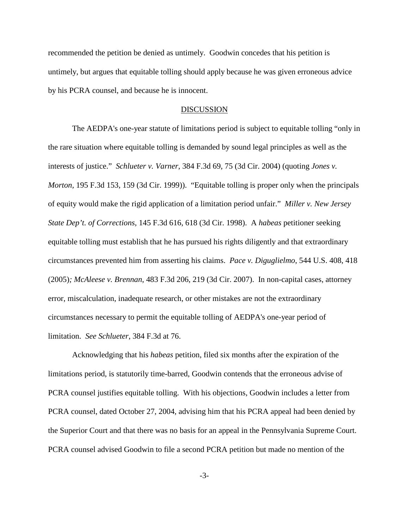recommended the petition be denied as untimely. Goodwin concedes that his petition is untimely, but argues that equitable tolling should apply because he was given erroneous advice by his PCRA counsel, and because he is innocent.

#### **DISCUSSION**

The AEDPA's one-year statute of limitations period is subject to equitable tolling "only in the rare situation where equitable tolling is demanded by sound legal principles as well as the interests of justice." *Schlueter v. Varner*, 384 F.3d 69, 75 (3d Cir. 2004) (quoting *Jones v. Morton,* 195 F.3d 153, 159 (3d Cir. 1999)). "Equitable tolling is proper only when the principals of equity would make the rigid application of a limitation period unfair." *Miller v. New Jersey State Dep't. of Corrections*, 145 F.3d 616, 618 (3d Cir. 1998). A *habeas* petitioner seeking equitable tolling must establish that he has pursued his rights diligently and that extraordinary circumstances prevented him from asserting his claims. *Pace v. Diguglielmo*, 544 U.S. 408, 418 (2005)*; McAleese v. Brennan*, 483 F.3d 206, 219 (3d Cir. 2007). In non-capital cases, attorney error, miscalculation, inadequate research, or other mistakes are not the extraordinary circumstances necessary to permit the equitable tolling of AEDPA's one-year period of limitation. *See Schlueter*, 384 F.3d at 76.

Acknowledging that his *habeas* petition, filed six months after the expiration of the limitations period, is statutorily time-barred, Goodwin contends that the erroneous advise of PCRA counsel justifies equitable tolling. With his objections, Goodwin includes a letter from PCRA counsel, dated October 27, 2004, advising him that his PCRA appeal had been denied by the Superior Court and that there was no basis for an appeal in the Pennsylvania Supreme Court. PCRA counsel advised Goodwin to file a second PCRA petition but made no mention of the

-3-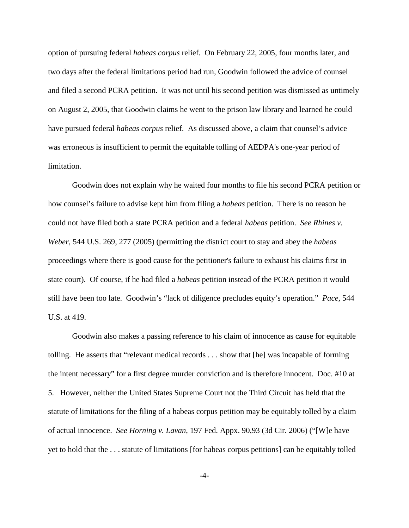option of pursuing federal *habeas corpus* relief. On February 22, 2005, four months later, and two days after the federal limitations period had run, Goodwin followed the advice of counsel and filed a second PCRA petition. It was not until his second petition was dismissed as untimely on August 2, 2005, that Goodwin claims he went to the prison law library and learned he could have pursued federal *habeas corpus* relief. As discussed above, a claim that counsel's advice was erroneous is insufficient to permit the equitable tolling of AEDPA's one-year period of limitation.

Goodwin does not explain why he waited four months to file his second PCRA petition or how counsel's failure to advise kept him from filing a *habeas* petition. There is no reason he could not have filed both a state PCRA petition and a federal *habeas* petition. *See Rhines v. Weber*, 544 U.S. 269, 277 (2005) (permitting the district court to stay and abey the *habeas* proceedings where there is good cause for the petitioner's failure to exhaust his claims first in state court). Of course, if he had filed a *habeas* petition instead of the PCRA petition it would still have been too late. Goodwin's "lack of diligence precludes equity's operation." *Pace*, 544 U.S. at 419.

Goodwin also makes a passing reference to his claim of innocence as cause for equitable tolling. He asserts that "relevant medical records . . . show that [he] was incapable of forming the intent necessary" for a first degree murder conviction and is therefore innocent. Doc. #10 at 5. However, neither the United States Supreme Court not the Third Circuit has held that the statute of limitations for the filing of a habeas corpus petition may be equitably tolled by a claim of actual innocence. *See Horning v. Lavan*, 197 Fed. Appx. 90,93 (3d Cir. 2006) ("[W]e have yet to hold that the . . . statute of limitations [for habeas corpus petitions] can be equitably tolled

-4-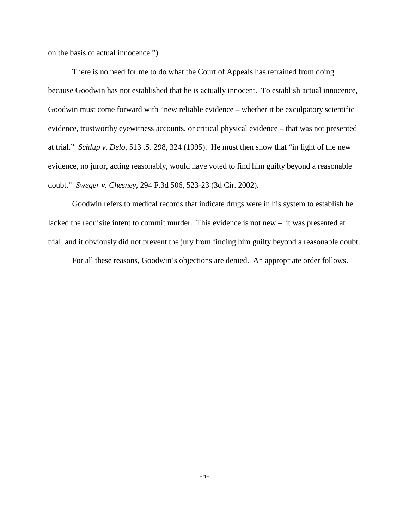on the basis of actual innocence.").

There is no need for me to do what the Court of Appeals has refrained from doing because Goodwin has not established that he is actually innocent. To establish actual innocence, Goodwin must come forward with "new reliable evidence – whether it be exculpatory scientific evidence, trustworthy eyewitness accounts, or critical physical evidence – that was not presented at trial." *Schlup v. Delo*, 513 .S. 298, 324 (1995). He must then show that "in light of the new evidence, no juror, acting reasonably, would have voted to find him guilty beyond a reasonable doubt." *Sweger v. Chesney*, 294 F.3d 506, 523-23 (3d Cir. 2002).

Goodwin refers to medical records that indicate drugs were in his system to establish he lacked the requisite intent to commit murder. This evidence is not new – it was presented at trial, and it obviously did not prevent the jury from finding him guilty beyond a reasonable doubt.

For all these reasons, Goodwin's objections are denied. An appropriate order follows.